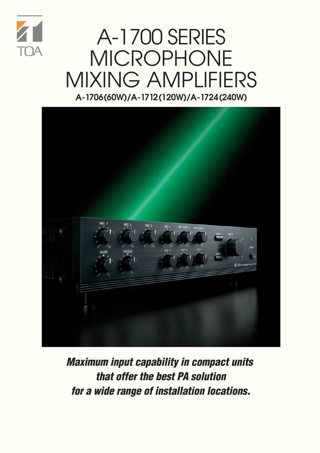

### A-1700 SERIES MICROPHONE MIXING AMPLIFIERS **A-1706 (60W)/A-1712 (120W)/A-1724 (240W)**



**Maximum input capability in compact units that offer the best PA solution for a wide range of installation locations.**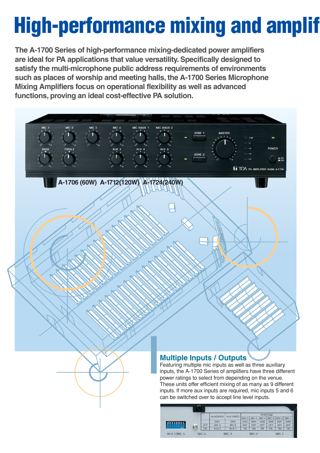# **High-performance mixing and amplif**

**The A-1700 Series of high-performance mixing-dedicated power amplifiers are ideal for PA applications that value versatility. Specifically designed to satisfy the multi-microphone public address requirements of environments such as places of worship and meeting halls, the A-1700 Series Microphone Mixing Amplifiers focus on operational flexibility as well as advanced functions, proving an ideal cost-effective PA solution.**

**A-1706 (60W) A-1712 (120W) A-1724 (240W)**



Featuring multiple mic inputs as well as three auxiliary inputs, the A-1700 Series of amplifiers have three different power ratings to select from depending on the venue. These units offer efficient mixing of as many as 9 different inputs. If more aux inputs are required, mic inputs 5 and 6 can be switched over to accept line level inputs.

TOA PA AMPLIFIER model

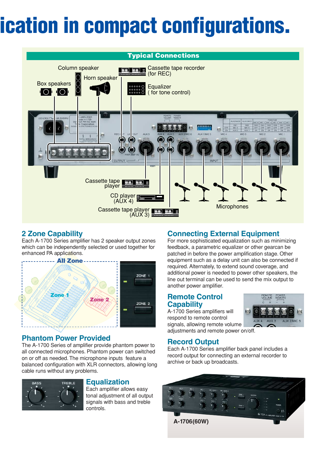## **ication in compact configurations.**



#### **2 Zone Capability**

Each A-1700 Series amplifier has 2 speaker output zones which can be independently selected or used together for enhanced PA applications.



#### **Phantom Power Provided**

The A-1700 Series of amplifier provide phantom power to all connected microphones. Phantom power can switched on or off as needed. The microphone inputs feature a balanced configuration with XLR connectors, allowing long cable runs without any problems.



#### **Equalization**

Each amplifier allows easy tonal adjustment of all output signals with bass and treble controls.

### **Connecting External Equipment**

For more sophisticated equalization such as minimizing feedback, a parametric equalizer or other gearcan be patched in before the power amplification stage. Other equipment such as a delay unit can also be connected if required. Alternately, to extend sound coverage, and additional power is needed to power other speakers, the line out terminal can be used to send the mix output to another power amplifier.

#### **Remote Control Capability**

A-1700 Series amplifiers will respond to remote control signals, allowing remote volume adjustments and remote power on/off.



#### **Record Output**

Each A-1700 Series amplifier back panel includes a record output for connecting an external recorder to archive or back up broadcasts.